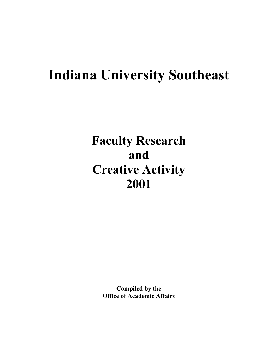# **Indiana University Southeast**

## **Faculty Research and Creative Activity 2001**

**Compiled by the Office of Academic Affairs**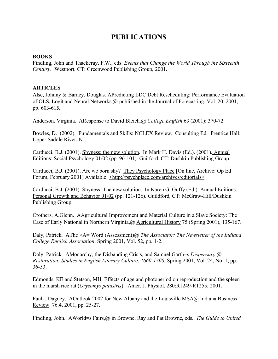## **PUBLICATIONS**

### **BOOKS**

Findling, John and Thackeray, F.W., eds. *Events that Change the World Through the Sixteenth Century*. Westport, CT: Greenwood Publishing Group, 2001.

## **ARTICLES**

Alse, Johnny & Barney, Douglas. APredicting LDC Debt Rescheduling: Performance Evaluation of OLS, Logit and Neural Networks,@ published in the Journal of Forecasting, Vol. 20, 2001, pp. 603-615.

Anderson, Virginia. AResponse to David Bleich.@ *College English* 63 (2001): 370-72.

Bowles, D. (2002). Fundamentals and Skills: NCLEX Review. Consulting Ed. Prentice Hall: Upper Saddle River, NJ.

Carducci, B.J. (2001). Shyness: the new solution. In Mark H. Davis (Ed.). (2001). Annual Editions: Social Psychology 01/02 (pp. 96-101). Guilford, CT: Dushkin Publishing Group.

Carducci, B.J. (2001). Are we born shy? They Psychology Place [On line, Archive: Op Ed Forum, February 2001] Available: <http://psychplace.com/archives/editorials>

Carducci, B.J. (2001). Shyness: The new solution. In Karen G. Guffy (Ed.). Annual Editions: Personal Growth and Behavior 01/02 (pp. 121-126). Guildford, CT: McGraw-Hill/Dushkin Publishing Group.

Crothers, A.Glenn. AAgricultural Improvement and Material Culture in a Slave Society: The Case of Early National in Northern Virginia,@ Agricultural History 75 (Spring 2001), 135-167.

Daly, Patrick. AThe >A= Word (Assessment)@ *The Associator: The Newsletter of the Indiana College English Association*, Spring 2001, Vol. 52, pp. 1-2.

Daly, Patrick. AMonarchy, the Disbanding Crisis, and Samuel Garth=s *Dispensary*,@ *Restoration: Studies in English Literary Culture, 1660-1700*, Spring 2001, Vol. 24, No. 1, pp. 36-53.

Edmonds, KE and Stetson, MH. Effects of age and photoperiod on reproduction and the spleen in the marsh rice rat (*Oryzomys palustris*). Amer. J. Physiol. 280:R1249-R1255, 2001.

Faulk, Dagney. AOutlook 2002 for New Albany and the Louisville MSA@ Indiana Business Review. 76.4, 2001, pp. 25-27.

Findling, John. AWorld=s Fairs,@ in Browne, Ray and Pat Browne, eds., *The Guide to United*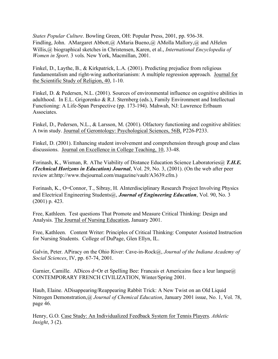*States Popular Culture*. Bowling Green, OH: Popular Press, 2001, pp. 936-38. Findling, John. AMargaret Abbott,@ AMaria Bueno,@ AMolla Mallory,@ and AHelen Willis,@ biographical sketches in Christensen, Karen, et al., *International Encyclopedia of Women in Sport*. 3 vols. New York, Macmillan, 2001.

Finkel, D., Laythe, B., & Kirkpatrick, L.A. (2001). Predicting prejudice from religious fundamentalism and right-wing authoritarianism: A multiple regression approach. Journal for the Scientific Study of Religion, 40, 1-10.

Finkel, D. & Pedersen, N.L. (2001). Sources of environmental influence on cognitive abilities in adulthood. In E.L. Grigorenko & R.J. Sternberg (eds.), Family Environment and Intellectual Functioning: A Life-Span Perspective (pp. 173-194). Mahwah, NJ: Lawrence Erlbaum Associates.

Finkel, D., Pedersen, N.L., & Larsson, M. (2001). Olfactory functioning and cognitive abilities: A twin study. Journal of Gerontology: Psychological Sciences, 56B, P226-P233.

Finkel, D. (2001). Enhancing student involvement and comprehension through group and class discussions. Journal on Excellence in College Teaching, 10, 33-48.

Forinash, K., Wisman, R. AThe Viability of Distance Education Science Laboratories@ *T.H.E. (Technical Horizons in Education) Journal*, Vol. 29, No. 3, (2001). (On the web after peer review at:http://www.thejournal.com/magazine/vault/A3639.cfm.)

Forinash, K., O=Connor, T., Sibray, H. AInterdisciplinary Research Project Involving Physics and Electrical Engineering Students@, *Journal of Engineering Education*, Vol. 90, No. 3 (2001) p. 423.

Free, Kathleen. Test questions That Promote and Measure Critical Thinking: Design and Analysis. The Journal of Nursing Education, January 2001.

Free, Kathleen. Content Writer: Principles of Critical Thinking: Computer Assisted Instruction for Nursing Students. College of DuPage, Glen Ellyn, IL.

Galvin, Peter. APiracy on the Ohio River: Cave-in-Rock@, *Journal of the Indiana Academy of Social Sciences*, IV, pp. 67-74, 2001.

Garnier, Camille. ADicos d=Or et Spelling Bee: Francais et Americains face a leur langue $\omega$ CONTEMPORARY FRENCH CIVILIZATION, Winter/Spring 2001.

Haub, Elaine. ADisappearing/Reappearing Rabbit Trick: A New Twist on an Old Liquid Nitrogen Demonstration,@ *Journal of Chemical Education*, January 2001 issue, No. 1, Vol. 78, page 46.

Henry, G.O. Case Study: An Individualized Feedback System for Tennis Players. *Athletic Insight*, 3 (2).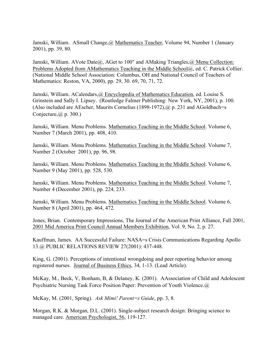Jamski, William. ASmall Change,@ Mathematics Teacher, Volume 94, Number 1 (January 2001), pp. 39, 80.

Jamski, William. AVote Date@, AGet to 100" and AMaking Triangles, @ Menu Collection: Problems Adopted from AMathematics Teaching in the Middle School@, ed. C. Patrick Collier. (National Middle School Association: Columbus, OH and National Council of Teachers of Mathematics: Reston, VA, 2000), pp. 29, 30. 69, 70, 71, 72.

Jamski, William. ACalendars,@ Encyclopedia of Mathematics Education, ed. Louise S. Grinstein and Sally I. Lipsey. (Routledge Falmer Publishing: New York, NY, 2001), p. 100. (Also included are AEscher, Maurits Cornelius  $(1898-1972)$ ,  $@p. 231$  and AGoldbach=s Conjecture,  $(a)$  p. 300.)

Jamski, William. Menu Problems. Mathematics Teaching in the Middle School. Volume 6, Number 7 (March 2001), pp. 408, 410.

Jamski, William. Menu Problems. Mathematics Teaching in the Middle School. Volume 7, Number 2 (October 2001), pp. 96, 98.

Jamski, William. Menu Problems. Mathematics Teaching in the Middle School. Volume 6, Number 9 (May 2001), pp. 528, 530.

Jamski, William. Menu Problems. Mathematics Teaching in the Middle School. Volume 7, Number 4 (December 2001), pp. 224, 233.

Jamski, William. Menu Problems. Mathematics Teaching in the Middle School. Volume 6, Number 8 (April 2001), pp. 464, 472.

Jones, Brian. Contemporary Impressions, The Journal of the American Print Alliance, Fall 2001, 2001 Mid America Print Council Annual Members Exhibition, Vol. 9, No. 2, p. 27.

Kauffman, James. AA Successful Failure: NASA=s Crisis Communications Regarding Apollo 13.@ PUBLIC RELATIONS REVIEW 27(2001): 437-448.

King, G. (2001). Perceptions of intentional wrongdoing and peer reporting behavior among registered nurses. Journal of Business Ethics, 34, 1-13. (Lead Article).

McKay, M., Beck, V, Bonham, B, & Delaney, K. (2001). AAssociation of Child and Adolescent Psychiatric Nursing Task Force Position Paper: Prevention of Youth Violence.@

McKay, M. (2001, Spring). *Ask Mimi! Parent=s Guide*, pp. 3, 8.

Morgan, R.K. & Morgan, D.L. (2001). Single-subject research design: Bringing science to managed care. American Psychologist, 56, 119-127.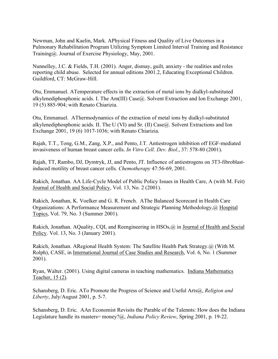Newman, John and Kaelin, Mark. APhysical Fitness and Quality of Live Outcomes in a Pulmonary Rehabilitation Program Utilizing Symptom Limited Interval Training and Resistance Training@. Journal of Exercise Physiology, May, 2001.

Nunnelley, J.C. & Fields, T.H. (2001). Anger, dismay, guilt, anxiety - the realities and roles reporting child abuse. Selected for annual editions 2001.2, Educating Exceptional Children. Guildford, CT: McGraw-Hill.

Otu, Emmanuel. ATemperature effects in the extraction of metal ions by dialkyl-substituted alkylenediphosphonic acids. I. The Am(III) Case@. Solvent Extraction and Ion Exchange 2001, 19 (5) 885-904; with Renato Chiarizia.

Otu, Emmanuel. AThermodynamics of the extraction of metal ions by dialkyl-substituted alkylenediphosphonic acids. II. The U (VI) and Sr. (II) Case@. Solvent Extractions and Ion Exchange 2001, 19 (6) 1017-1036; with Renato Chiarizia.

Rajah, T.T., Tong, G.M., Zang, X.P., and Pento, J.T. Antiestrogen inhibition off EGF-mediated invasiveness of human breast cancer cells. *In Vitro Cell. Dev. Biol*., 37: 578-80 (2001).

Rajah, TT, Rambo, DJ, Dymtryk, JJ, and Pento, JT. Influence of antiestrogens on 3T3-fibroblastinduced motility of breast cancer cells. *Chemotherapy* 47:56-69, 2001.

Rakich, Jonathan. AA Life-Cycle Model of Public Policy Issues in Health Care, A (with M. Feit) Journal of Health and Social Policy, Vol. 13, No. 2 (2001).

Rakich, Jonathan, K. Voelker and G. R. French. AThe Balanced Scorecard in Health Care Organizations: A Performance Measurement and Strategic Planning Methodology,@ Hospital Topics, Vol. 79, No. 3 (Summer 2001).

Rakich, Jonathan. AQuality, CQI, and Reengineering in HSOs,@ in Journal of Health and Social Policy. Vol. 13, No. 3 (January 2001).

Rakich, Jonathan. ARegional Health System: The Satellite Health Park Strategy.@ (With M. Rolph), CASE, in International Journal of Case Studies and Research, Vol. 6, No. 1 (Summer 2001).

Ryan, Walter. (2001). Using digital cameras in teaching mathematics. Indiana Mathematics Teacher, 15 (2).

Schansberg, D. Eric. ATo Promote the Progress of Science and Useful Arts@, *Religion and Liberty*, July/August 2001, p. 5-7.

Schansberg, D. Eric. AAn Economist Revisits the Parable of the Talennts: How does the Indiana Legislature handle its masters= money?@, *Indiana Policy Review*, Spring 2001, p. 19-22.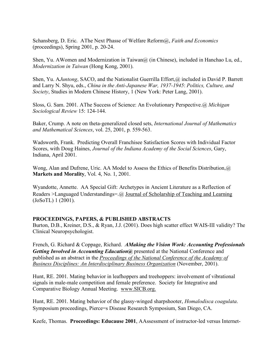Schansberg, D. Eric. AThe Next Phasse of Welfare Reform@, *Faith and Economics* (proceedings), Spring 2001, p. 20-24.

Shen, Yu. AWomen and Modernization in Taiwan $\omega$  (in Chinese), included in Hanchao Lu, ed., *Modernization in Taiwan* (Hong Kong, 2001).

Shen, Yu. AJuntong, SACO, and the Nationalist Guerrilla Effort, @ included in David P. Barrett and Larry N. Shyu, eds., *China in the Anti-Japanese War, 1937-1945*: *Politics, Culture, and Society*, Studies in Modern Chinese History, 1 (New York: Peter Lang, 2001).

Sloss, G. Sam. 2001. AThe Success of Science: An Evolutionary Perspective.@ *Michigan Sociological Review* 15: 124-144.

Baker, Crump. A note on theta-generalized closed sets, *International Journal of Mathematics and Mathematical Sciences*, vol. 25, 2001, p. 559-563.

Wadsworth, Frank. Predicting Overall Franchisee Satisfaction Scores with Individual Factor Scores, with Doug Haines, *Journal of the Indiana Academy of the Social Sciences*, Gary, Indiana, April 2001.

Wong, Alan and Dufrene, Uric. AA Model to Assess the Ethics of Benefits Distribution,@ **Markets and Morality**, Vol. 4, No. 1, 2001.

Wyandotte, Annette. AA Special Gift: Archetypes in Ancient Literature as a Reflection of Readers >Languaged Understandings=.@ Journal of Scholarship of Teaching and Learning (JoSoTL) 1 (2001).

## **PROCEEDINGS, PAPERS, & PUBLISHED ABSTRACTS**

Burton, D.B., Kreiner, D.S., & Ryan, J.J. (2001). Does high scatter effect WAIS-III validity? The Clinical Neuropsychologist.

French, G. Richard & Coppage, Richard. *AMaking the Vision Work: Accounting Professionals Getting Involved in Accounting Education@* presented at the National Conference and published as an abstract in the *Proceedings of the National Conference of the Academy of Business Disciplines: An Interdisciplinary Business Organization* (November, 2001).

Hunt, RE. 2001. Mating behavior in leafhoppers and treehoppers: involvement of vibrational signals in male-male competition and female preference. Society for Integrative and Comparative Biology Annual Meeting. www.SICB.org.

Hunt, RE. 2001. Mating behavior of the glassy-winged sharpshooter, *Homalodisca coagulata*. Symposium proceedings, Pierce=s Disease Research Symposium, San Diego, CA.

Keefe, Thomas. **Proceedings: Educause 2001**, AAssessment of instructor-led versus Internet-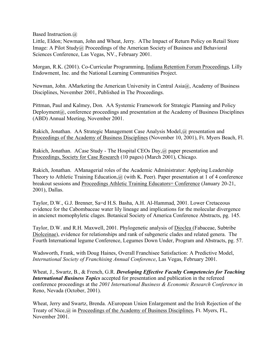Based Instruction.@

Little, Eldon; Newman, John and Wheat, Jerry. AThe Impact of Return Policy on Retail Store Image: A Pilot Study@ Proceedings of the American Society of Business and Behavioral Sciences Conference, Las Vegas, NV., February 2001.

Morgan, R.K. (2001). Co-Curricular Programming, Indiana Retention Forum Proceedings, Lilly Endowment, Inc. and the National Learning Communities Project.

Newman, John. AMarketing the American University in Central Asia $\omega$ , Academy of Business Disciplines, November 2001, Published in The Proceedings.

Pittman, Paul and Kalmey, Don. AA Systemic Framework for Strategic Planning and Policy Deployment@, conference proceedings and presentation at the Academy of Business Disciplines (ABD) Annual Meeting, November 2001.

Rakich, Jonathan. AA Strategic Management Case Analysis Model,@ presentation and Proceedings of the Academy of Business Disciplines (November 10, 2001), Ft. Myers Beach, Fl.

Rakich, Jonathan. ACase Study - The Hospital CEOs Day,@ paper presentation and Proceedings, Society for Case Research (10 pages) (March 2001), Chicago.

Rakich, Jonathan. AManagerial roles of the Academic Administrator: Applying Leadership Theory to Athletic Training Education, @ (with K. Peer). Paper presentation at 1 of 4 conference breakout sessions and Proceedings Athletic Training Educators= Conference (January 20-21, 2001), Dallas.

Taylor, D.W., G.J. Brenner, Sa=d H.S. Basha, A.H. Al-Hammad, 2001. Lower Cretaceous evidence for the Cabombaceae water lily lineage and implications for the molecular divergence in ancienct momophyletic clages. Botanical Society of America Conference Abstracts, pg. 145.

Taylor, D.W. and R.H. Maxwell, 2001. Phylogenetic analysis of Dioclea (Fabaceae, Subtribe Diolceinae), evidence for relationships and rank of subgeneric clades and related genera. The Fourth International legume Conference, Legumes Down Under, Program and Abstracts, pg. 57.

Wadsworth, Frank, with Doug Haines, Overall Franchisee Satisfaction: A Predictive Model, *International Society of Franchising Annual Conference*, Las Vegas, February 2001.

Wheat, J., Swartz, B., & French, G.R. *Developing Effective Faculty Competencies for Teaching International Business Topics* accepted for presentation and publication in the refereed conference proceedings at the *2001 International Business & Economic Research Conference* in Reno, Nevada (October, 2001).

Wheat, Jerry and Swartz, Brenda. AEuropean Union Enlargement and the Irish Rejection of the Treaty of Nice,@ in Proceedings of the Academy of Business Disciplines, Ft. Myers, FL, November 2001.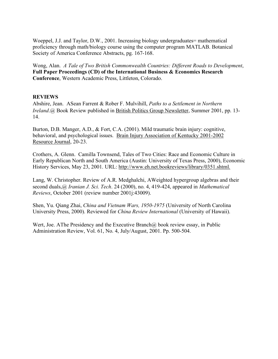Woeppel, J.J. and Taylor, D.W., 2001. Increasing biology undergraduates = mathematical proficiency through math/biology course using the computer program MATLAB. Botanical Society of America Conference Abstracts, pg. 167-168.

Wong, Alan. *A Tale of Two British Commonwealth Countries: Different Roads to Development*, **Full Paper Proceedings (CD) of the International Business & Economics Research Conference**, Western Academic Press, Littleton, Colorado.

## **REVIEWS**

Abshire, Jean. ASean Farrent & Rober F. Mulvihill, *Paths to a Settlement in Northern Ireland.*@ Book Review published in British Politics Group Newsletter, Summer 2001, pp. 13-14.

Burton, D.B. Manger, A.D., & Fort, C.A. (2001). Mild traumatic brain injury: cognitive, behavioral, and psychological issues. Brain Injury Association of Kentucky 2001-2002 Resource Journal, 20-23.

Crothers, A. Glenn. Camilla Townsend, Tales of Two Cities: Race and Economic Culture in Early Republican North and South America (Austin: University of Texas Press, 2000), Economic History Services, May 23, 2001. URL: http://www.eh.net.bookreviews/library/0351.shtml.

Lang, W. Christopher. Review of A.R. Medghalchi, AWeighted hypergroup algebras and their second duals,@ *Iranian J. Sci. Tech*. 24 (2000), no. 4, 419-424, appeared in *Mathematical Reviews*, October 2001 (review number 2001j:43009).

Shen, Yu. Qiang Zhai, *China and Vietnam Wars, 1950-1975* (University of North Carolina University Press, 2000). Reviewed for *China Review International* (University of Hawaii).

Wert, Joe. AThe Presidency and the Executive Branch@ book review essay, in Public Administration Review, Vol. 61, No. 4, July/August, 2001. Pp. 500-504.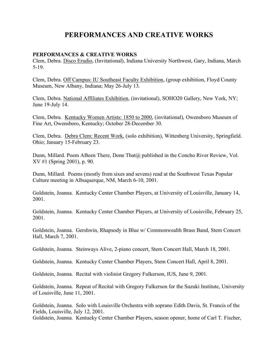## **PERFORMANCES AND CREATIVE WORKS**

### **PERFORMANCES & CREATIVE WORKS**

Clem, Debra. Disco Erudio, (Invitational), Indiana University Northwest, Gary, Indiana, March 5-19.

Clem, Debra. Off Campus: IU Southeast Faculty Exhibition, (group exhibition, Floyd County Museum, New Albany, Indiana; May 26-July 13.

Clem, Debra. National Affiliates Exhibition, (invitational), SOHO20 Gallery, New York, NY; June 19-July 14.

Clem, Debra. Kentucky Women Artists: 1850 to 2000, (invitational), Owensboro Museum of Fine Art, Owensboro, Kentucky; October 28-December 30.

Clem, Debra. Debra Clem: Recent Work, (solo exhibition), Wittenberg University, Springfield. Ohio; January 15-February 23.

Dunn, Millard. Poem ABeen There, Done That@ published in the Concho River Review, Vol. XV #1 (Spring 2001), p. 90.

Dunn, Millard. Poems (mostly from sixes and sevens) read at the Southwest Texas Popular Culture meeting in Albuquerque, NM, March 6-10, 2001.

Goldstein, Joanna. Kentucky Center Chamber Players, at University of Louisville, January 14, 2001.

Goldstein, Joanna. Kentucky Center Chamber Players, at University of Louisville, February 25, 2001.

Goldstein, Joanna. Gershwin, Rhapsody in Blue w/ Commonwealth Brass Band, Stem Concert Hall, March 7, 2001.

Goldstein, Joanna. Steinways Alive, 2-piano concert, Stem Concert Hall, March 18, 2001.

Goldstein, Joanna. Kentucky Center Chamber Players, Stem Concert Hall, April 8, 2001.

Goldstein, Joanna. Recital with violinist Gregory Fulkerson, IUS, June 9, 2001.

Goldstein, Joanna. Repeat of Recital with Gregory Fulkerson for the Suzuki Institute, University of Louisville, June 11, 2001.

Goldstein, Joanna. Solo with Louisville Orchestra with soprano Edith Davis, St. Francis of the Fields, Louisville, July 12, 2001.

Goldstein, Joanna. Kentucky Center Chamber Players, season opener, home of Carl T. Fischer,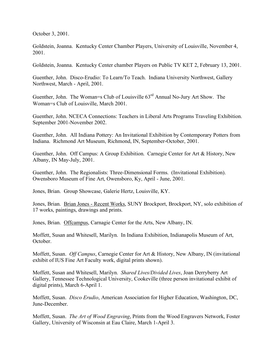October 3, 2001.

Goldstein, Joanna. Kentucky Center Chamber Players, University of Louisville, November 4, 2001.

Goldstein, Joanna. Kentucky Center chamber Players on Public TV KET 2, February 13, 2001.

Guenther, John. Disco-Erudio: To Learn/To Teach. Indiana University Northwest, Gallery Northwest, March - April, 2001.

Guenther, John. The Woman=s Club of Louisville 63rd Annual No-Jury Art Show. The Woman=s Club of Louisville, March 2001.

Guenther, John. NCECA Connections: Teachers in Liberal Arts Programs Traveling Exhibition. September 2001-November 2002.

Guenther, John. All Indiana Pottery: An Invitational Exhibition by Contemporary Potters from Indiana. Richmond Art Museum, Richmond, IN, September-October, 2001.

Guenther, John. Off Campus: A Group Exhibition. Carnegie Center for Art & History, New Albany, IN May-July, 2001.

Guenther, John. The Regionalists: Three-Dimensional Forms. (Invitational Exhibition). Owensboro Museum of Fine Art, Owensboro, Ky, April - June, 2001.

Jones, Brian. Group Showcase, Galerie Hertz, Louisville, KY.

Jones, Brian. Brian Jones - Recent Works, SUNY Brockport, Brockport, NY, solo exhibition of 17 works, paintings, drawings and prints.

Jones, Brian. Offcampus, Carnagie Center for the Arts, New Albany, IN.

Moffett, Susan and Whitesell, Marilyn. In Indiana Exhibition, Indianapolis Museum of Art, October.

Moffett, Susan. *Off Campus*, Carnegie Center for Art & History, New Albany, IN (invitational exhibit of IUS Fine Art Faculty work, digital prints shown).

Moffett, Susan and Whitesell, Marilyn. *Shared Lives/Divided Lives*, Joan Derryberry Art Gallery, Tennessee Technological University, Cookeville (three person invitational exhibit of digital prints), March 6-April 1.

Moffett, Susan. *Disco Erudio*, American Association for Higher Education, Washington, DC, June-December.

Moffett, Susan. *The Art of Wood Engraving*, Prints from the Wood Engravers Network, Foster Gallery, University of Wisconsin at Eau Claire, March 1-April 3.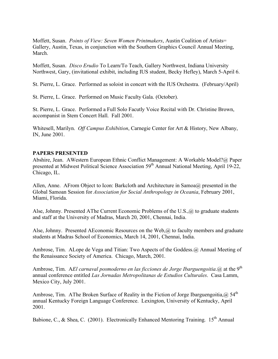Moffett, Susan. *Points of View: Seven Women Printmakers*, Austin Coalition of Artists= Gallery, Austin, Texas, in conjunction with the Southern Graphics Council Annual Meeting, March.

Moffett, Susan. *Disco Erudio* To Learn/To Teach, Gallery Northwest, Indiana University Northwest, Gary, (invitational exhibit, including IUS student, Becky Hefley), March 5-April 6.

St. Pierre, L. Grace. Performed as soloist in concert with the IUS Orchestra. (February/April)

St. Pierre, L. Grace. Performed on Music Faculty Gala. (October).

St. Pierre, L. Grace. Performed a Full Solo Facutly Voice Recital with Dr. Christine Brown, accompanist in Stem Concert Hall. Fall 2001.

Whitesell, Marilyn. *Off Campus Exhibition*, Carnegie Center for Art & History, New Albany, IN, June 2001.

## **PAPERS PRESENTED**

Abshire, Jean. AWestern European Ethnic Conflict Management: A Workable Model?@ Paper presented at Midwest Political Science Association 59<sup>th</sup> Annual National Meeting, April 19-22, Chicago, IL.

Allen, Anne. AFrom Object to Icon: Barkcloth and Architecture in Samoa@ presented in the Global Samoan Session for *Association for Social Anthropology in Oceania*, February 2001, Miami, Florida.

Alse, Johnny. Presented AThe Current Economic Problems of the U.S.,@ to graduate students and staff at the University of Madras, March 20, 2001, Chennai, India.

Alse, Johnny. Presented AEconomic Resources on the Web, @ to faculty members and graduate students at Madras School of Economics, March 14, 2001, Chennai, India.

Ambrose, Tim. ALope de Vega and Titian: Two Aspects of the Goddess.@ Annual Meeting of the Renaissance Society of America. Chicago, March, 2001.

Ambrose, Tim. A*El carnaval posmoderno en las ficciones de Jorge Ibarguengoitia*.@ at the 9th annual conference entitled *Las Jornadas Metropolitanas de Estudios Culturales*. Casa Lamm, Mexico City, July 2001.

Ambrose, Tim. AThe Broken Surface of Reality in the Fiction of Jorge Ibarguengoitia,  $\omega$  54<sup>th</sup> annual Kentucky Foreign Language Conference. Lexington, University of Kentucky, April 2001.

Babione, C., & Shea, C. (2001). Electronically Enhanced Mentoring Training.  $15^{th}$  Annual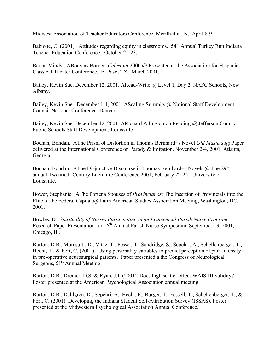Midwest Association of Teacher Educators Conference. Merillville, IN. April 8-9.

Babione, C. (2001). Attitudes regarding equity in classrooms.  $54<sup>th</sup>$  Annual Turkey Run Indiana Teacher Education Conference. October 21-23.

Badia, Mindy. ABody as Border: *Celestina* 2000.@ Presented at the Association for Hispanic Classical Theater Conference. El Paso, TX. March 2001.

Bailey, Kevin Sue. December 12, 2001. ARead-Write.@ Level 1, Day 2. NAFC Schools, New Albany.

Bailey, Kevin Sue. December 1-4, 2001. AScaling Summits.@ National Staff Development Council National Conference. Denver.

Bailey, Kevin Sue. December 12, 2001. ARichard Allington on Reading.@ Jefferson County Public Schools Staff Development, Louisville.

Bochan, Bohdan. AThe Prism of Distortion in Thomas Bernhard=s Novel *Old Masters*.@ Paper delivered at the International Conference on Parody & Imitation, November 2-4, 2001, Atlanta, Georgia.

Bochan, Bohdan. AThe Disjunctive Discourse in Thomas Bernhard=s Novels.  $\omega$  The 29<sup>th</sup> annual Twentieth-Century Literature Conference 2001, February 22-24. University of Louisville.

Bower, Stephanie. AThe Portena Spouses of *Provincianos*: The Insertion of Provincials into the Elite of the Federal Capital,@ Latin American Studies Association Meeting, Washington, DC, 2001.

Bowles, D. *Spirituality of Nurses Participating in an Ecumenical Parish Nurse Program*, Research Paper Presentation for 16<sup>th</sup> Annual Parish Nurse Symposium, September 13, 2001, Chicago, IL.

Burton, D.B., Morasutti, D., Vitaz, T., Fessel, T., Sandridge, S., Sepehri, A., Schellenberger, T., Hecht, T., & Fort, C. (2001). Using personality variables to predict perception of pain intensity in pre-operative neurosurgical patients. Paper presented a the Congress of Neurological Surgeons,  $51<sup>st</sup>$  Annual Meeting.

Burton, D.B., Dreiner, D.S. & Ryan, J.J. (2001). Does high scatter effect WAIS-III validity? Poster presented at the American Psychological Association annual meeting.

Burton, D.B., Dahlgren, D., Sepehri, A., Hecht, F., Burger, T., Fessell, T., Schellenberger, T., & Fort, C. (2001). Developing the Indiana Student Self-Attribution Survey (ISSAS). Poster presented at the Midwestern Psychological Association Annual Conference.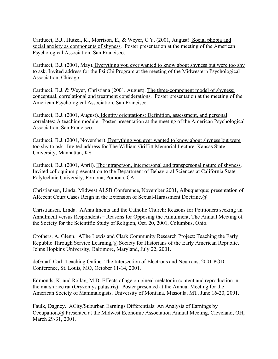Carducci, B.J., Hutzel, K., Morrison, E., & Weyer, C.Y. (2001, August). Social phobia and social anxiety as components of shyness. Poster presentation at the meeting of the American Psychological Association, San Francisco.

Carducci, B.J. (2001, May). Everything you ever wanted to know about shyness but were too shy to ask. Invited address for the Psi Chi Program at the meeting of the Midwestern Psychological Association, Chicago.

Carducci, B.J. & Weyer, Christiana (2001, August). The three-component model of shyness: conceptual, correlational and treatment considerations. Poster presentation at the meeting of the American Psychological Association, San Francisco.

Carducci, B.J. (2001, August). Identity orientations: Definition, assessment, and personal correlates: A teaching module. Poster presentation at the meeting of the American Psychological Association, San Francisco.

Carducci, B.J. (2001, November). Everything you ever wanted to know about shyness but were too shy to ask. Invited address for The William Griffitt Memorial Lecture, Kansas State University, Manhattan, KS.

Carducci, B.J. (2001, April). The intraperson, interpersonal and transpersonal nature of shyness. Invited colloquium presentation to the Department of Behavioral Sciences at California State Polytechnic University, Pomona, Pomona, CA.

Christiansen, Linda. Midwest ALSB Conference, November 2001, Albuquerque; presentation of ARecent Court Cases Reign in the Extension of Sexual-Harassment Doctrine.@

Christiansen, Linda. AAnnulments and the Catholic Church: Reasons for Petitioners seeking an Annulment versus Respondents= Reasons for Opposing the Annulment, The Annual Meeting of the Society for the Scientific Study of Religion, Oct. 20, 2001, Columbus, Ohio.

Crothers, A. Glenn. AThe Lewis and Clark Community Research Project: Teaching the Early Republic Through Service Learning,@ Society for Historians of the Early American Republic, Johns Hopkins University, Baltimore, Maryland, July 22, 2001.

deGraaf, Carl. Teaching Online: The Intersection of Electrons and Neutrons, 2001 POD Conference, St. Louis, MO, October 11-14, 2001.

Edmonds, K. and Rollag, M.D. Effects of age on pineal melatonin content and reproduction in the marsh rice rat (Oryzomys palustris). Poster presented at the Annual Meeting for the American Society of Mammalogists, University of Montana, Missoula, MT, June 16-20, 2001.

Faulk, Dagney. ACity/Suburban Earnings Differentials: An Analysis of Earnings by Occupation,@ Presented at the Midwest Economic Association Annual Meeting, Cleveland, OH, March 29-31, 2001.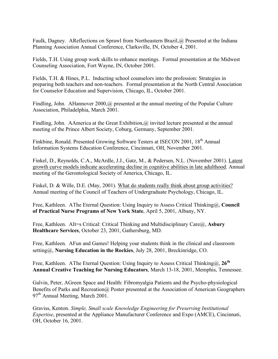Faulk, Dagney. AReflections on Sprawl from Northeastern Brazil,@ Presented at the Indiana Planning Association Annual Conference, Clarksville, IN, October 4, 2001.

Fields, T.H. Using group work skills to enhance meetings. Formal presentation at the Midwest Counseling Association, Fort Wayne, IN, October 2001.

Fields, T.H. & Hines, P.L. Inducting school counselors into the profession: Strategies in preparing both teachers and non-teachers. Formal presentation at the North Central Association for Counselor Education and Supervision, Chicago, IL, October 2001.

Findling, John. AHannover 2000, @ presented at the annual meeting of the Popular Culture Association, Philadelphia, March 2001.

Findling, John. AAmerica at the Great Exhibition,  $\omega$  invited lecture presented at the annual meeting of the Prince Albert Society, Coburg, Germany, September 2001.

Finkbine, Ronald. Presented Growing Software Testers at ISECON 2001, 18<sup>th</sup> Annual Information Systems Education Conference, Cincinnati, OH, November 2001.

Finkel, D., Reynolds, C.A., McArdle, J.J., Gatz, M., & Pedersen, N.L. (November 2001). Latent growth curve models indicate accelerating decline in cognitive abilities in late adulthood. Annual meeting of the Gerontological Society of America, Chicago, IL.

Finkel, D. & Wille, D.E. (May, 2001). What do students really think about group activities? Annual meeting of the Council of Teachers of Undergraduate Psychology, Chicago, IL.

Free, Kathleen. AThe Eternal Question: Using Inquiry to Assess Critical Thinking@, **Council of Practical Nurse Programs of New York State**, April 5, 2001, Albany, NY.

Free, Kathleen. AIt=s Critical: Critical Thinking and Multidisciplinary Care@, **Asbury Healthcare Services**, October 23, 2001, Gathersburg, MD.

Free, Kathleen. AFun and Games! Helping your students think in the clinical and classroom setting@, **Nursing Education in the Rockies**, July 28, 2001, Breckinridge, CO.

Free, Kathleen. AThe Eternal Question: Using Inquiry to Assess Critical Thinking@, 26<sup>th</sup> **Annual Creative Teaching for Nursing Educators**, March 13-18, 2001, Memphis, Tennessee.

Galvin, Peter, AGreen Space and Health: Fibromyalgia Patients and the Psycho-physiological Benefits of Parks and Recreation@ Poster presented at the Association of American Geographers 97<sup>th</sup> Annual Meeting, March 2001.

Graviss, Kenton. *Simple, Small scale Knowledge Engineering for Preserving Institutional Expertise*, presented at the Appliance Manufacturer Conference and Expo (AMCE), Cincinnati, OH, October 16, 2001.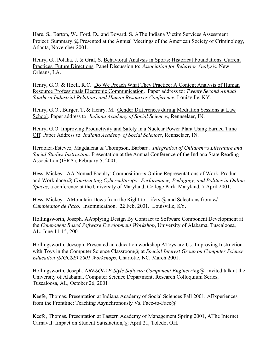Hare, S., Barton, W., Ford, D., and Bovard, S. AThe Indiana Victim Services Assessment Project: Summary.@ Presented at the Annual Meetings of the American Society of Criminology, Atlanta, November 2001.

Henry, G., Polaha, J. & Graf, S. Behavioral Analysis in Sports: Historical Foundations, Current Practices, Future Directions. Panel Discussion to: *Association for Behavior Analysis*, New Orleans, LA.

Henry, G.O. & Hoell, R.C. Do We Preach What They Practice: A Content Analysis of Human Resource Professionals Electronic Communication. Paper address to: *Twenty Second Annual Southern Industrial Relations and Human Resources Conference*, Louisville, KY.

Henry, G.O., Burger, T, & Henry, M.. Gender Differences during Mediation Sessions at Law School. Paper address to: *Indiana Academy of Social Sciences*, Rennselaer, IN.

Henry, G.O. Improving Productivity and Safety in a Nuclear Power Plant Using Earned Time Off. Paper Address to: *Indiana Academy of Social Sciences*, Rennselaer, IN.

Herdoiza-Estevez, Magdalena & Thompson, Barbara. *Integration of Children=s Literature and Social Studies Instruction*. Presentation at the Annual Conference of the Indiana State Reading Association (ISRA), February 5, 2001.

Hess, Mickey. AA Nomad Faculty: Composition=s Online Representations of Work, Product and Workplace.@ *Constructing Cyberculture(s): Performance, Pedagogy, and Politics in Online Spaces*, a conference at the University of Maryland, College Park, Maryland, 7 April 2001.

Hess, Mickey. AMountain Dews from the Right-to-Lifers,@ and Selections from *El Cumpleanos de Paco*. Insomnicathon. 22 Feb, 2001. Louisville, KY.

Hollingsworth, Joseph. AApplying Design By Contract to Software Component Development at the *Component Based Software Development Workshop*, University of Alabama, Tuscaloosa, AL, June 11-15, 2001.

Hollingsworth, Joeseph. Presented an education workshop AToys are Us: Improving Instruction with Toys in the Computer Science Classroom@ at *Special Interest Group on Computer Science Education (SIGCSE) 2001 Workshops*, Charlotte, NC, March 2001.

Hollingsworth, Joseph. A*RESOLVE-Style Software Component Engineering*@, invited talk at the University of Alabama, Computer Science Department, Research Colloquium Series, Tuscaloosa, AL, October 26, 2001

Keefe, Thomas. Presentation at Indiana Academy of Social Sciences Fall 2001, AExperiences from the Frontline: Teaching Asynchronously Vs. Face-to-Face@.

Keefe, Thomas. Presentation at Eastern Academy of Management Spring 2001, AThe Internet Carnaval: Impact on Student Satisfaction,@ April 21, Toledo, OH.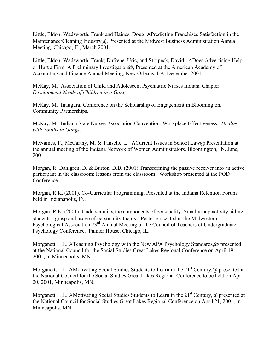Little, Eldon; Wadsworth, Frank and Haines, Doug. APredicting Franchisee Satisfaction in the Maintenance/Cleaning Industry@, Presented at the Midwest Business Administration Annual Meeting. Chicago, IL, March 2001.

Little, Eldon; Wadsworth, Frank; Dufrene, Uric, and Strupeck, David. ADoes Advertising Help or Hurt a Firm: A Preliminary Investigation@, Presented at the American Academy of Accounting and Finance Annual Meeting, New Orleans, LA, December 2001.

McKay, M. Association of Child and Adolescent Psychiatric Nurses Indiana Chapter. *Development Needs of Children in a Gang*.

McKay, M. Inaugural Conference on the Scholarship of Engagement in Bloomington. Community Partnerships.

McKay, M. Indiana State Nurses Association Convention: Workplace Effectiveness. *Dealing with Youths in Gangs*.

McNames, P., McCarthy, M. & Tanselle, L. ACurrent Issues in School Law@ Presentation at the annual meeting of the Indiana Network of Women Administrators, Bloomington, IN, June, 2001.

Morgan, R. Dahlgren, D. & Burton, D.B. (2001) Transforming the passive receiver into an active participant in the classroom: lessons from the classroom. Workshop presented at the POD Conference.

Morgan, R.K. (2001). Co-Curricular Programming, Presented at the Indiana Retention Forum held in Indianapolis, IN.

Morgan, R.K. (2001). Understanding the components of personality: Small group activity aiding students= grasp and usage of personality theory. Poster presented at the Midwestern Psychological Association 73<sup>rd</sup> Annual Meeting of the Council of Teachers of Undergraduate Psychology Conference. Palmer House, Chicago, IL.

Morganett, L.L. ATeaching Psychology with the New APA Psychology Standards,@ presented at the National Council for the Social Studies Great Lakes Regional Conference on April 19, 2001, in Minneapolis, MN.

Morganett, L.L. AMotivating Social Studies Students to Learn in the 21<sup>st</sup> Century,@ presented at the National Council for the Social Studies Great Lakes Regional Conference to be held on April 20, 2001, Minneapolis, MN.

Morganett, L.L. AMotivating Social Studies Students to Learn in the 21<sup>st</sup> Century,@ presented at the National Council for Social Studies Great Lakes Regional Conference on April 21, 2001, in Minneapolis, MN.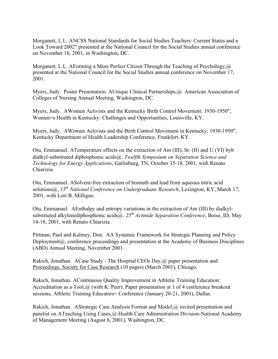Morganett, L.L. ANCSS National Standards for Social Studies Teachers: Current Status and a Look Toward 2002" presented at the National Council for the Social Studies annual conference on November 16, 2001, in Washington, DC.

Morganett, L.L. AForming a More Perfect Citizen Through the Teaching of Psychology,@ presented at the National Council for the Social Studies annual conference on November 17, 2001.

Myers, Judy. Poster Presentation. AUnique Clinical Partnerships, @ American Association of Colleges of Nursing Annual Meeting, Washington, DC.

Myers, Judy. AWomen Activists and the Kentucky Birth Control Movement: 1930-1950", Women=s Health in Kentucky: Challenges and Opportunities, Louisville, KY.

Myers, Judy. AWomen Activists and the Birth Control Movement in Kentucky: 1930-1950", Kentucky Department of Health Leadership Conference, Frankfort, KY.

Otu, Emmanuel. ATemperature effects on the extraction of Am (III), Sr. (II) and U (VI) byb dialkyl-substituted diphosphonic acids@. *Twelfth Symposium on Separation Science and Technology for Energy Applications*, Gatlinburg, TN, October 15-18, 2001, with Renato Chiarizia.

Otu, Emmanuel. ASolvent-free extraction of bismuth and lead from aqueous nitric acid solutions@, *15th National Conference on Undergraduate Research*, Lexington, KY, March 17, 2001, with Lori B. Milligan.

Otu, Emmanuel. AEnthalpy and entropy variations in the extraction of Am (III) by dialkylsubstituted alkylenediphosphonic acids@. *25th Actinide Separation Conference*, Boise, ID, May 14-18, 2001, with Renato Chiarizia.

Pittman, Paul and Kalmey, Don. AA Systemic Framework for Strategic Planning and Policy Deployment@, conference proceedings and presentation at the Academy of Business Disciplines (ABD) Annual Meeting, November 2001.

Rakich, Jonathan. ACase Study - The Hospital CEOs Day,@ paper presentation and Proceedings, Society for Case Research (10 pages) (March 2001), Chicago.

Rakich, Jonathan. AContinuous Quality Improvement in Athletic Training Education: Accreditation as a Tool, @ (with K. Peer), Paper presentation at 1 of 4 conference breakout sessions, Athletic Training Educators= Conference (January 20-21, 2001), Dallas.

Rakich, Jonathan. AStrategic Case Analysis Format and Model,@ invited presentation and panelist on ATeaching Using Cases,@ Health Care Administration Division-National Academy of Management Meeting (August 6, 2001), Washington, DC.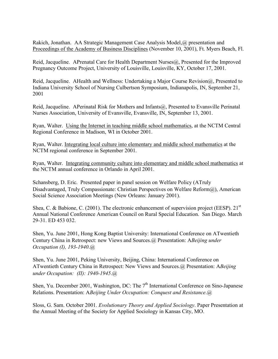Rakich, Jonathan. AA Strategic Management Case Analysis Model,@ presentation and Proceedings of the Academy of Business Disciplines (November 10, 2001), Ft. Myers Beach, Fl.

Reid, Jacqueline. APrenatal Care for Health Department Nurses@, Presented for the Improved Pregnancy Outcome Project, University of Louisville, Louisville, KY, October 17, 2001.

Reid, Jacqueline. AHealth and Wellness: Undertaking a Major Course Revision@, Presented to Indiana University School of Nursing Culbertson Symposium, Indianapolis, IN, September 21, 2001

Reid, Jacqueline. APerinatal Risk for Mothers and Infants@, Presented to Evansville Perinatal Nurses Association, University of Evansville, Evansville, IN, September 13, 2001.

Ryan, Walter. Using the Internet in teaching middle school mathematics, at the NCTM Central Regional Conference in Madison, WI in October 2001.

Ryan, Walter. Integrating local culture into elementary and middle school mathematics at the NCTM regional conference in September 2001.

Ryan, Walter. Integrating community culture into elementary and middle school mathematics at the NCTM annual conference in Orlando in April 2001.

Schansberg, D. Eric. Presented paper in panel session on Welfare Policy (ATruly Disadvantaged, Truly Compassionate: Christian Perspectives on Welfare Reform@), American Social Science Association Meetings (New Orleans: January 2001).

Shea, C. & Babione, C. (2001). The electronic enhancement of supervision project (EESP).  $21<sup>st</sup>$ Annual National Conference American Council on Rural Special Education. San Diego. March 29-31. ED 453 032.

Shen, Yu. June 2001, Hong Kong Baptist University: International Conference on ATwentieth Century China in Retrospect: new Views and Sources.@ Presentation: A*Beijing under Occupation (I), 193-1940*.@

Shen, Yu. June 2001, Peking University, Beijing, China: International Conference on ATwentieth Century China in Retrospect: New Views and Sources.@ Presentation: A*Beijing under Occupation: (II): 1940-1945*.@

Shen, Yu. December 2001, Washington, DC: The 7<sup>th</sup> International Conference on Sino-Japanese Relations. Presentation: A*Beijing Under Occupation: Conquest and Resistance*.@

Sloss, G. Sam. October 2001. *Evolutionary Theory and Applied Sociology*. Paper Presentation at the Annual Meeting of the Society for Applied Sociology in Kansas City, MO.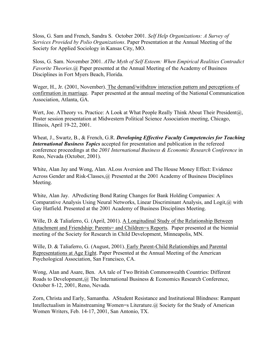Sloss, G. Sam and French, Sandra S. October 2001. *Self Help Organizations: A Survey of Services Provided by Polio Organizations*. Paper Presentation at the Annual Meeting of the Society for Applied Sociology in Kansas City, MO.

Sloss, G. Sam. November 2001. *AThe Myth of Self Esteem: When Empirical Realities Contradict Favorite Theories*.@ Paper presented at the Annual Meeting of the Academy of Business Disciplines in Fort Myers Beach, Florida.

Weger, H., Jr. (2001, November). The demand/withdraw interaction pattern and perceptions of confirmation in marriage. Paper presented at the annual meeting of the National Communication Association, Atlanta, GA.

Wert, Joe. ATheory vs. Practice: A Look at What People Really Think About Their President@, Poster session presentation at Midwestern Political Science Association meeting, Chicago, Illinois, April 19-22, 2001.

Wheat, J., Swartz, B., & French, G.R. *Developing Effective Faculty Competencies for Teaching International Business Topics* accepted for presentation and publication in the refereed conference proceedings at the *2001 International Business & Economic Research Conference* in Reno, Nevada (October, 2001).

White, Alan Jay and Wong, Alan. ALoss Aversion and The House Money Effect: Evidence Across Gender and Risk-Classes, @ Presented at the 2001 Academy of Business Disciplines Meeting.

White, Alan Jay. APredicting Bond Rating Changes for Bank Holding Companies: A Comparative Analysis Using Neural Networks, Linear Discriminant Analysis, and Logit,@ with Gay Hatfield. Presented at the 2001 Academy of Business Disciplines Meeting.

Wille, D. & Taliaferro, G. (April, 2001). A Longitudinal Study of the Relationship Between Attachment and Friendship: Parents= and Children=s Reports. Paper presented at the biennial meeting of the Society for Research in Child Development, Minneapolis, MN.

Wille, D. & Taliaferro, G. (August, 2001). Early Parent-Child Relationships and Parental Representations at Age Eight. Paper Presented at the Annual Meeting of the American Psychological Association, San Francisco, CA.

Wong, Alan and Asare, Ben. AA tale of Two British Commonwealth Countries: Different Roads to Development,@ The International Business & Economics Research Conference, October 8-12, 2001, Reno, Nevada.

Zorn, Christa and Early, Samantha. AStudent Resistance and Institutional Blindness: Rampant Intellectualism in Mainstreaming Women=s Literature.@ Society for the Study of American Women Writers, Feb. 14-17, 2001, San Antonio, TX.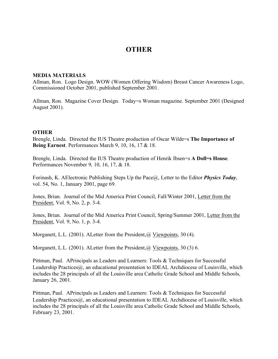## **OTHER**

#### **MEDIA MATERIALS**

Allman, Ron. Logo Design. WOW (Women Offering Wisdom) Breast Cancer Awareness Logo, Commissioned October 2001, published September 2001.

Allman, Ron. Magazine Cover Design. Today=s Woman magazine. September 2001 (Designed August 2001).

#### **OTHER**

Brengle, Linda. Directed the IUS Theatre production of Oscar Wilde=s **The Importance of Being Earnest**. Performances March 9, 10, 16, 17 & 18.

Brengle, Linda. Directed the IUS Theatre production of Henrik Ibsen=s **A Doll=s House**. Performances November 9, 10, 16, 17, & 18.

Forinash, K. AElectronic Publishing Steps Up the Pace@, Letter to the Editor *Physics Today*, vol. 54, No. 1, January 2001, page 69.

Jones, Brian. Journal of the Mid America Print Council, Fall/Winter 2001, Letter from the President, Vol. 9, No. 2, p. 3-4.

Jones, Brian. Journal of the Mid America Print Council, Spring/Summer 2001, Letter from the President, Vol. 9, No. 1, p. 3-4.

Morganett, L.L. (2001). A Letter from the President, @ Viewpoints, 30 (4).

Morganett, L.L. (2001). A Letter from the President, @ Viewpoints, 30 (3) 6.

Pittman, Paul. APrincipals as Leaders and Learners: Tools & Techniques for Successful Leadership Practices@, an educational presentation to IDEAL Archdiocese of Louisville, which includes the 28 principals of all the Louisville area Catholic Grade School and Middle Schools, January 26, 2001.

Pittman, Paul. APrincipals as Leaders and Learners: Tools & Techniques for Successful Leadership Practices@, an educational presentation to IDEAL Archdiocese of Louisville, which includes the 28 principals of all the Louisville area Catholic Grade School and Middle Schools, February 23, 2001.